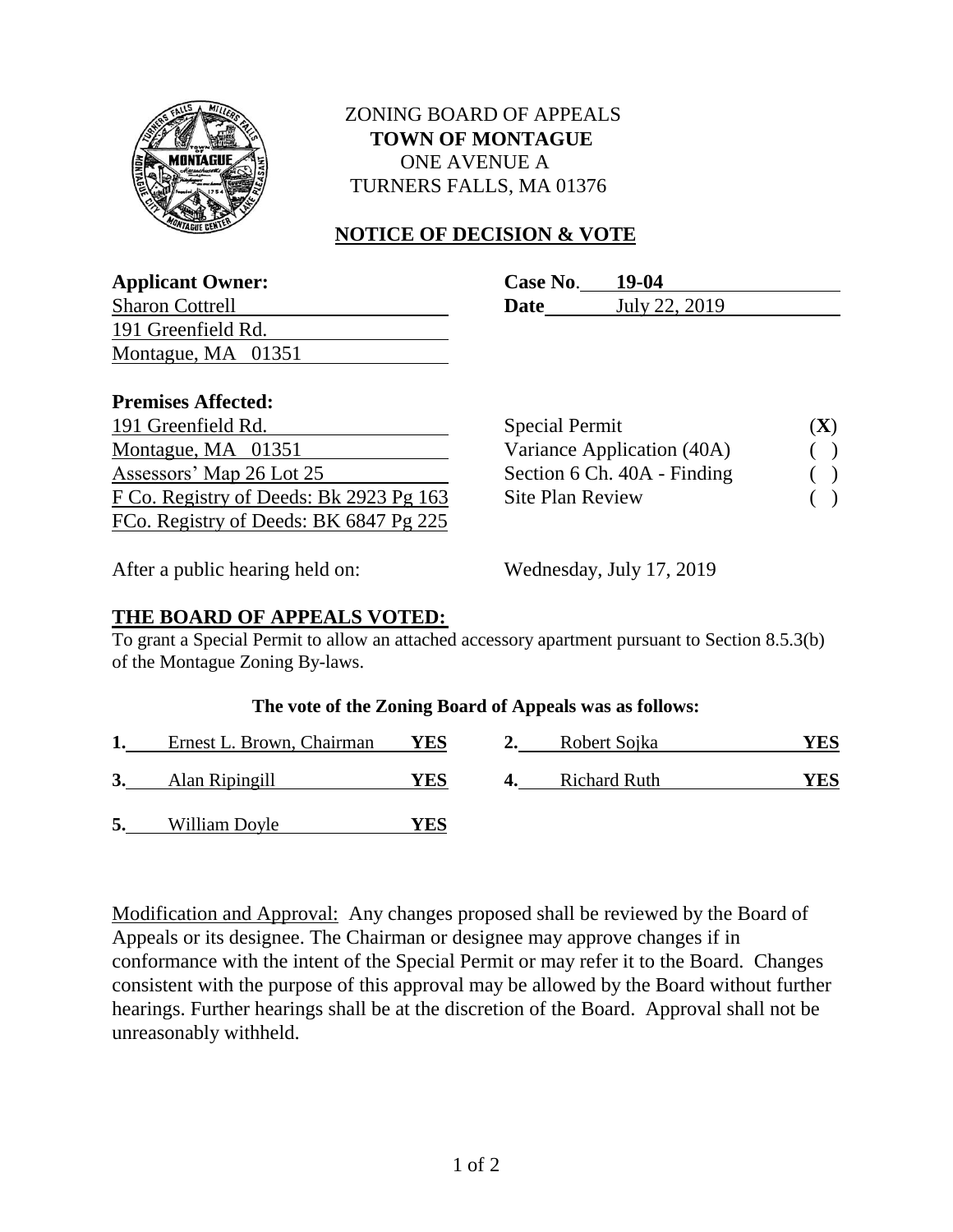

# ZONING BOARD OF APPEALS  **TOWN OF MONTAGUE** ONE AVENUE A TURNERS FALLS, MA 01376

# **NOTICE OF DECISION & VOTE**

| <b>Applicant Owner:</b>   | Case No. | 19-04         |  |
|---------------------------|----------|---------------|--|
| <b>Sharon Cottrell</b>    | Date     | July 22, 2019 |  |
| 191 Greenfield Rd.        |          |               |  |
| Montague, MA 01351        |          |               |  |
|                           |          |               |  |
| <b>Premises Affected:</b> |          |               |  |

| TT CHILD OF THE COOL .                  |                             |                          |
|-----------------------------------------|-----------------------------|--------------------------|
| 191 Greenfield Rd.                      | <b>Special Permit</b>       | (X)                      |
| Montague, MA 01351                      | Variance Application (40A)  | $\overline{\phantom{a}}$ |
| Assessors' Map 26 Lot 25                | Section 6 Ch. 40A - Finding | $\overline{\phantom{a}}$ |
| F Co. Registry of Deeds: Bk 2923 Pg 163 | <b>Site Plan Review</b>     | $\Box$                   |
| FCo. Registry of Deeds: BK 6847 Pg 225  |                             |                          |

| (X) |
|-----|
|     |
|     |
|     |
|     |

After a public hearing held on: Wednesday, July 17, 2019

## **THE BOARD OF APPEALS VOTED:**

To grant a Special Permit to allow an attached accessory apartment pursuant to Section 8.5.3(b) of the Montague Zoning By-laws.

### **The vote of the Zoning Board of Appeals was as follows:**

|    | Ernest L. Brown, Chairman | <b>YES</b> | Robert Sojka        | <sup>7</sup> ES |
|----|---------------------------|------------|---------------------|-----------------|
|    | Alan Ripingill            | YES        | <b>Richard Ruth</b> | 7ES             |
| 5. | William Doyle             | 7ES        |                     |                 |

Modification and Approval: Any changes proposed shall be reviewed by the Board of Appeals or its designee. The Chairman or designee may approve changes if in conformance with the intent of the Special Permit or may refer it to the Board. Changes consistent with the purpose of this approval may be allowed by the Board without further hearings. Further hearings shall be at the discretion of the Board. Approval shall not be unreasonably withheld.